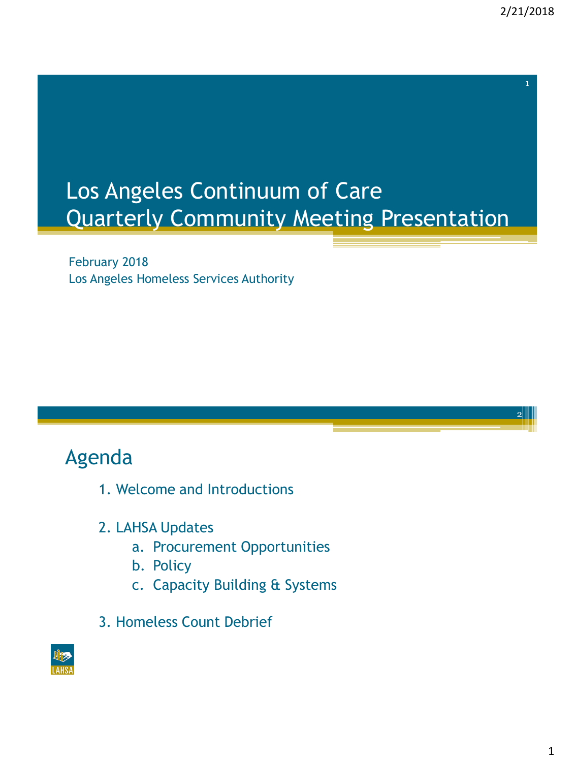2

# Los Angeles Continuum of Care Quarterly Community Meeting Presentation

February 2018 Los Angeles Homeless Services Authority

## Agenda

- 1. Welcome and Introductions
- 2. LAHSA Updates
	- a. Procurement Opportunities
	- b. Policy
	- c. Capacity Building & Systems
- 3. Homeless Count Debrief

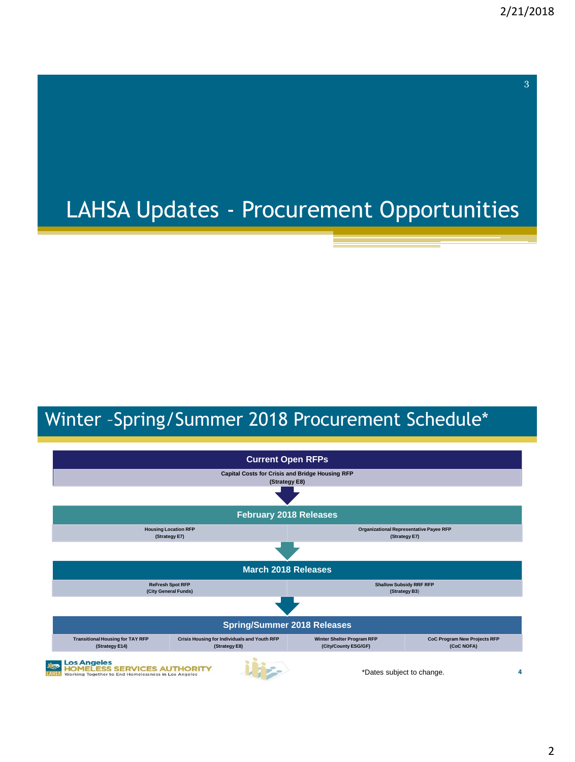# LAHSA Updates - Procurement Opportunities

## Winter –Spring/Summer 2018 Procurement Schedule\*

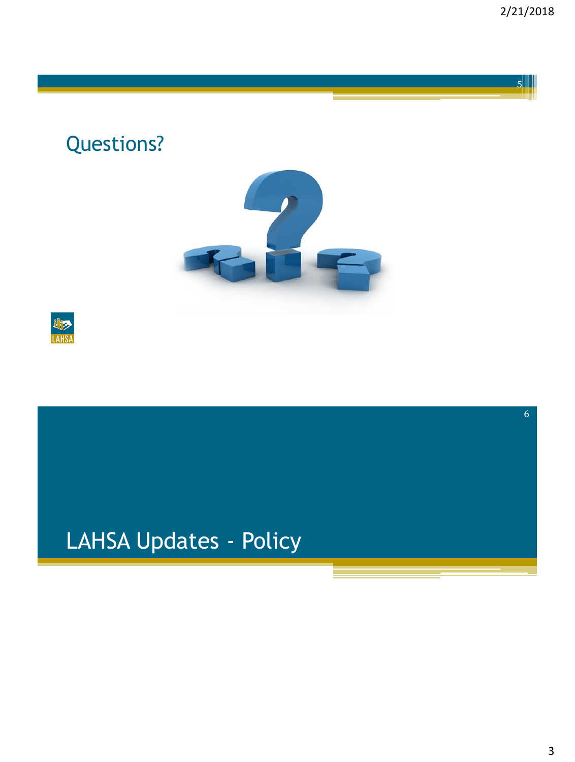Questions?





# LAHSA Updates - Policy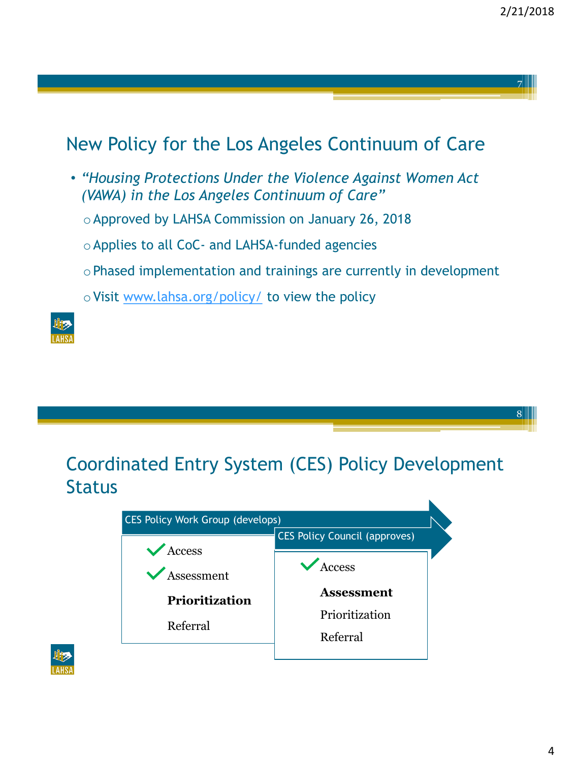8

### New Policy for the Los Angeles Continuum of Care

- *"Housing Protections Under the Violence Against Women Act (VAWA) in the Los Angeles Continuum of Care"*
	- o Approved by LAHSA Commission on January 26, 2018
	- o Applies to all CoC- and LAHSA-funded agencies
	- o Phased implementation and trainings are currently in development
	- o Visit [www.lahsa.org/policy/](http://www.lahsa.org/policy/) to view the policy



### Coordinated Entry System (CES) Policy Development **Status**



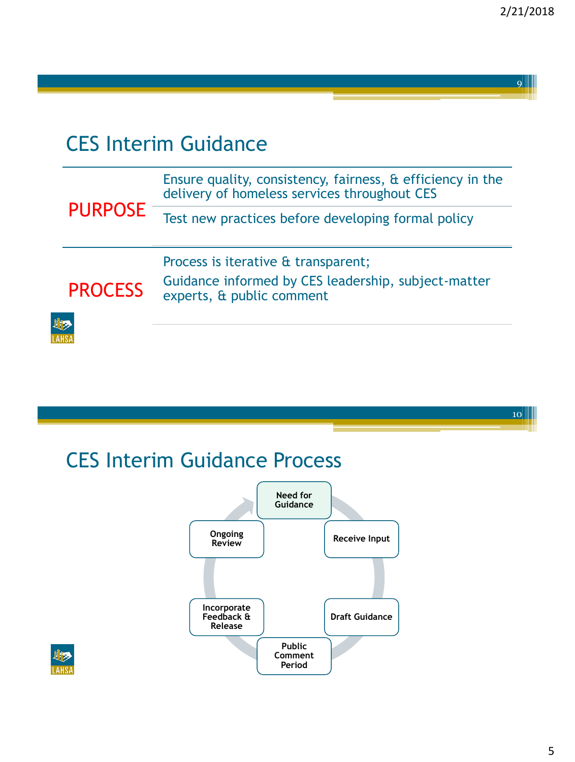## CES Interim Guidance

| <b>PURPOSE</b> | Ensure quality, consistency, fairness, & efficiency in the<br>delivery of homeless services throughout CES              |
|----------------|-------------------------------------------------------------------------------------------------------------------------|
|                | Test new practices before developing formal policy                                                                      |
| <b>PROCESS</b> | Process is iterative & transparent;<br>Guidance informed by CES leadership, subject-matter<br>experts, & public comment |
| LIE            |                                                                                                                         |

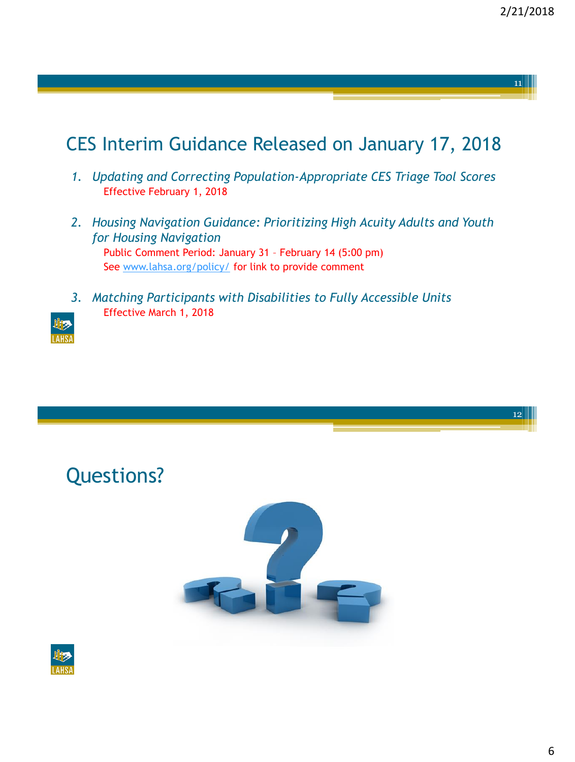## CES Interim Guidance Released on January 17, 2018

- *1. Updating and Correcting Population-Appropriate CES Triage Tool Scores* Effective February 1, 2018
- *2. Housing Navigation Guidance: Prioritizing High Acuity Adults and Youth for Housing Navigation* Public Comment Period: January 31 – February 14 (5:00 pm)

See [www.lahsa.org/policy/](http://www.lahsa.org/policy/) for link to provide comment

*3. Matching Participants with Disabilities to Fully Accessible Units* Effective March 1, 2018

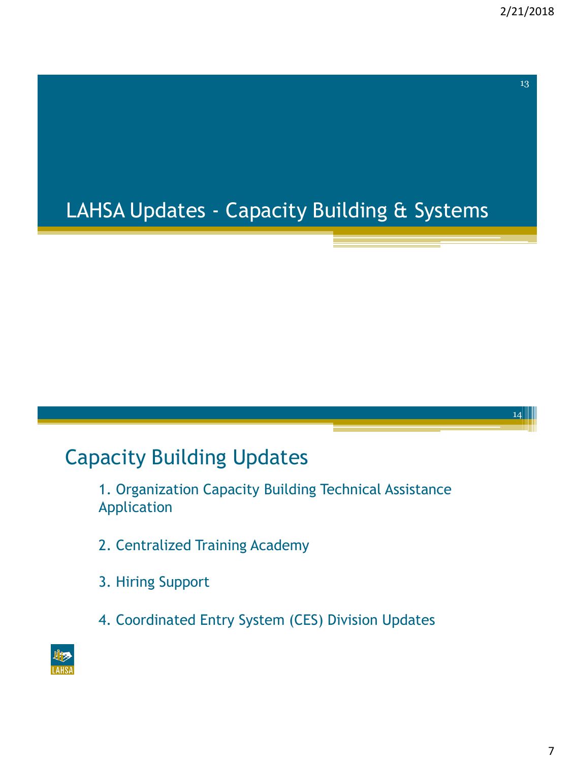$14$ 

# LAHSA Updates - Capacity Building & Systems

## Capacity Building Updates

1. Organization Capacity Building Technical Assistance Application

- 2. Centralized Training Academy
- 3. Hiring Support
- 4. Coordinated Entry System (CES) Division Updates

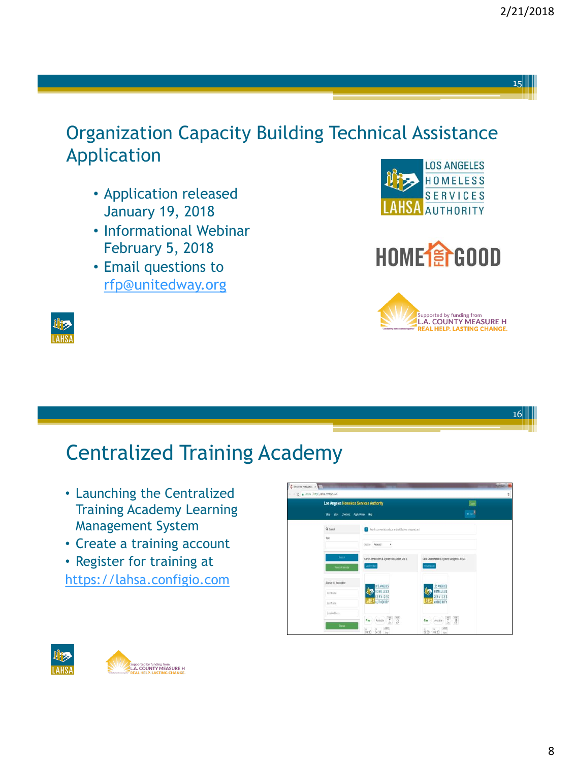## Organization Capacity Building Technical Assistance Application

- Application released January 19, 2018
- Informational Webinar February 5, 2018
- Email questions to [rfp@unitedway.org](mailto:rfp@unitedway.org)









#### 16

## Centralized Training Academy

- Launching the Centralized Training Academy Learning Management System
- Create a training account
- Register for training at [https://lahsa.configio.com](https://lahsa.configio.com/)





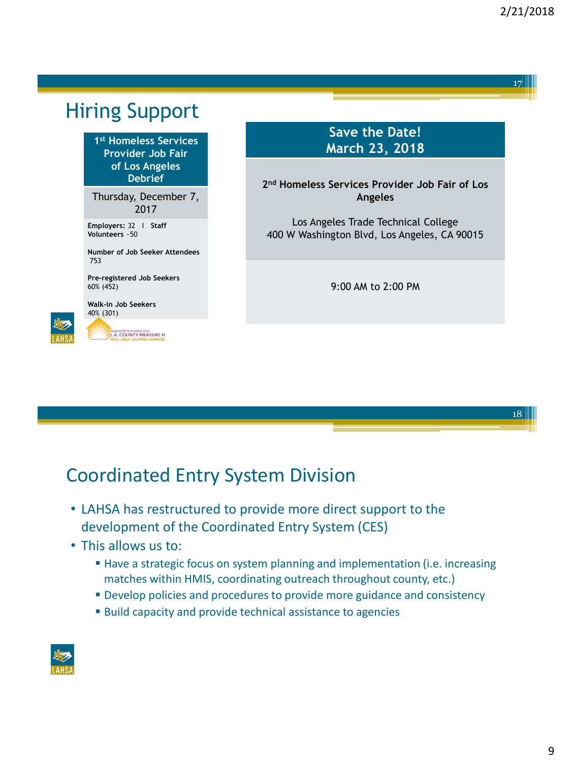## Hiring Support

**1 st Homeless Services Provider Job Fair of Los Angeles Debrief**

Thursday, December 7, 2017

**Employers:** 32 I **Staff Volunteers** ~50

**Number of Job Seeker Attendees** 753

**Pre-registered Job Seekers** 60% (452)

**Walk-in Job Seekers** 40% (301)



Supported by funding from<br>L.A. COUNTY MEASURE H

### **Save the Date! March 23, 2018**

**2 nd Homeless Services Provider Job Fair of Los Angeles**

Los Angeles Trade Technical College 400 W Washington Blvd, Los Angeles, CA 90015

9:00 AM to 2:00 PM



## Coordinated Entry System Division

- LAHSA has restructured to provide more direct support to the development of the Coordinated Entry System (CES)
- This allows us to:
	- **EXTEND 1** Have a strategic focus on system planning and implementation (i.e. increasing matches within HMIS, coordinating outreach throughout county, etc.)
	- **Develop policies and procedures to provide more guidance and consistency**
	- Build capacity and provide technical assistance to agencies

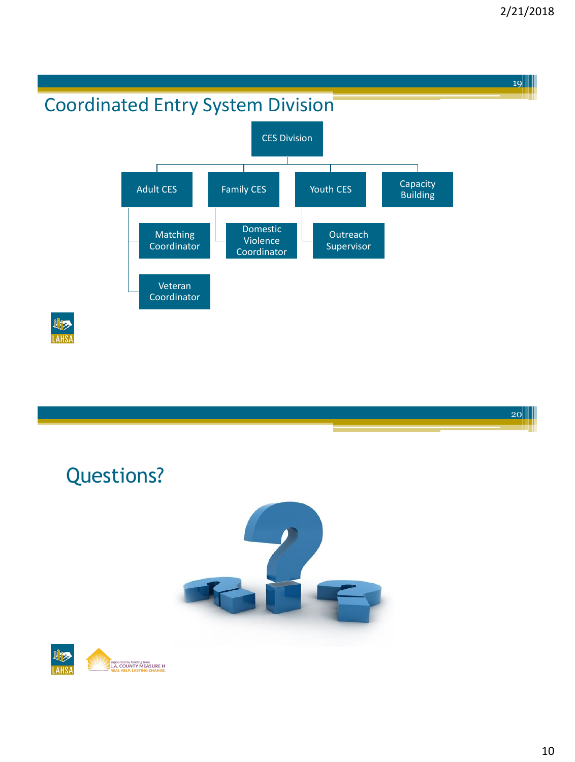

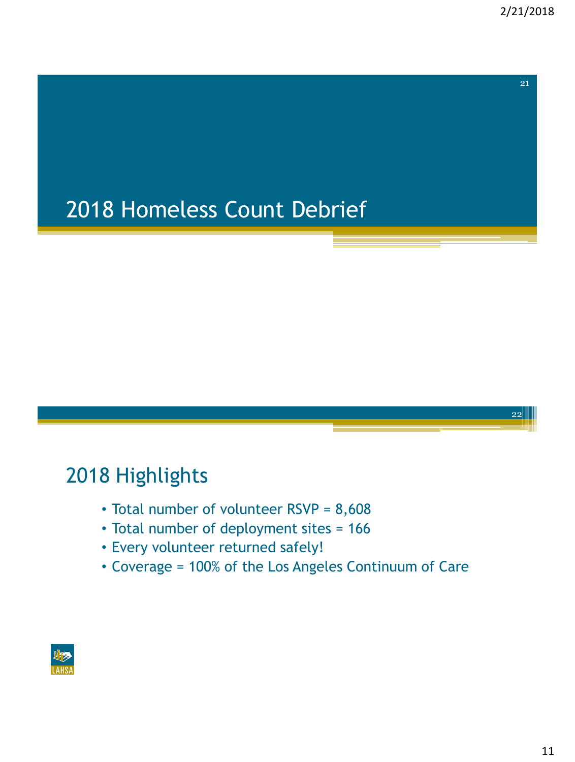22

# 2018 Homeless Count Debrief

## 2018 Highlights

- Total number of volunteer RSVP = 8,608
- Total number of deployment sites = 166
- Every volunteer returned safely!
- Coverage = 100% of the Los Angeles Continuum of Care

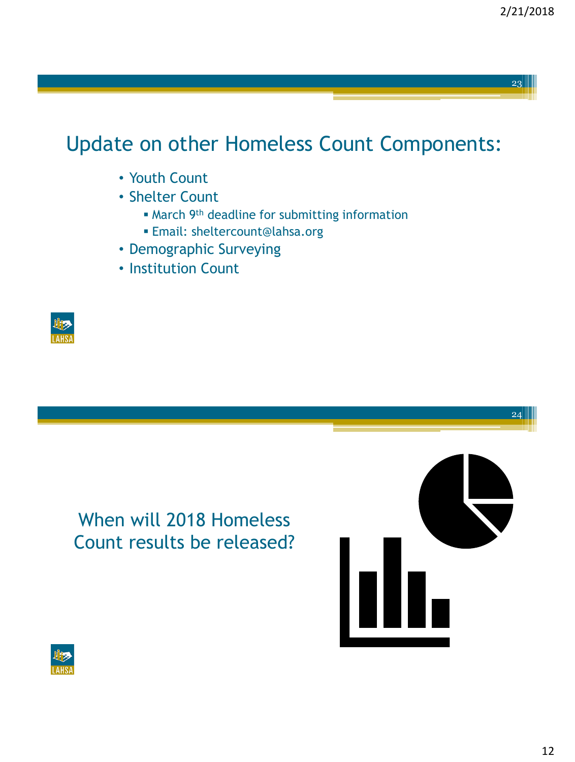24

## Update on other Homeless Count Components:

- Youth Count
- Shelter Count
	- **March 9th deadline for submitting information**
	- Email: sheltercount@lahsa.org
- Demographic Surveying
- Institution Count







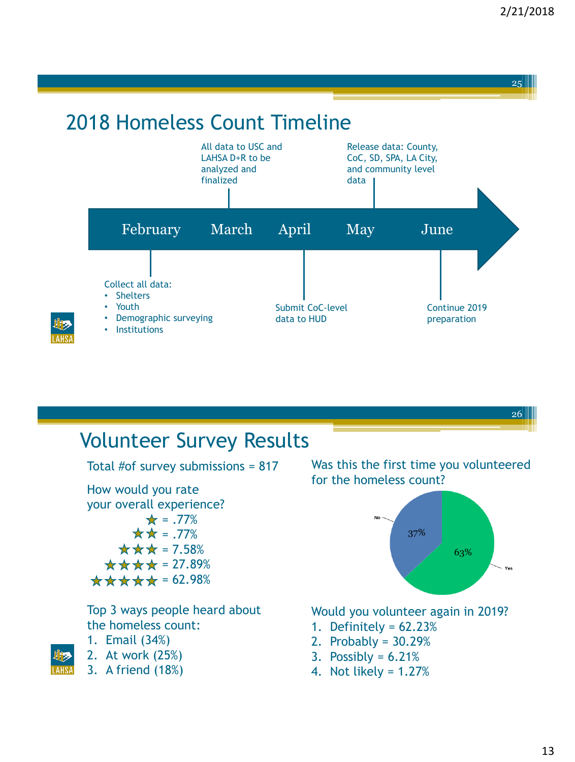

# 2018 Homeless Count Timeline



## Volunteer Survey Results

Total #of survey submissions = 817

How would you rate your overall experience?  $\star = .77\%$  $\star \star = .77\%$  $\star \star \star$  = 7.58%  $\star \star \star \star$  = 27.89%  $\star \star \star \star = 62.98\%$ 

Top 3 ways people heard about the homeless count:

- 1. Email (34%)
- 2. At work (25%)
- 3. A friend (18%)

Was this the first time you volunteered for the homeless count?



Would you volunteer again in 2019?

- 1. Definitely = 62.23%
- 2. Probably = 30.29%
- 3. Possibly =  $6.21\%$
- 4. Not likely = 1.27%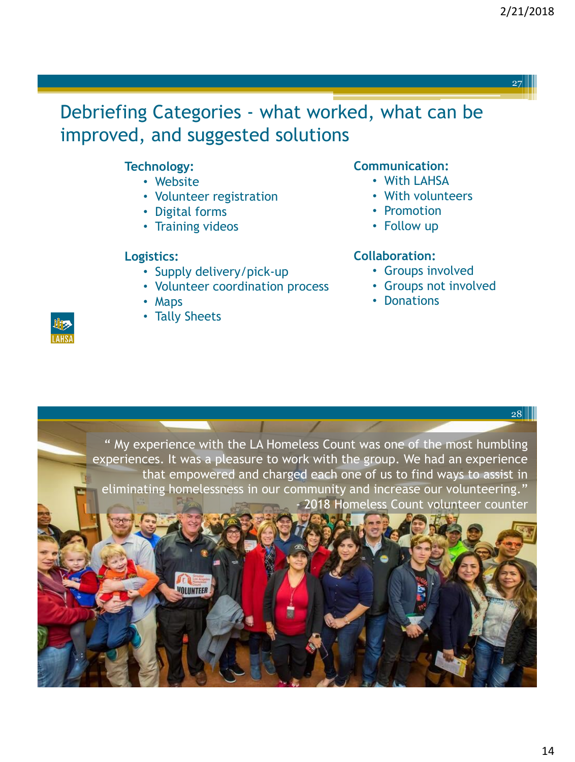

### Debriefing Categories - what worked, what can be improved, and suggested solutions

### **Technology:**

- Website
- Volunteer registration
- Digital forms
- Training videos

#### **Logistics:**

- Supply delivery/pick-up
- Volunteer coordination process
- Maps
- Tally Sheets

#### **Communication:**

- With LAHSA
- With volunteers
- Promotion
- Follow up

#### **Collaboration:**

- Groups involved
- Groups not involved
- Donations

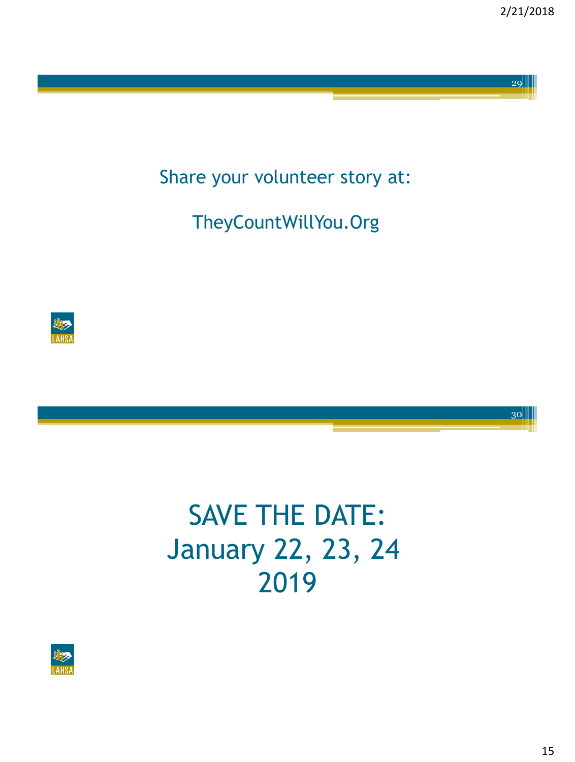30

Share your volunteer story at:

TheyCountWillYou.Org



# SAVE THE DATE: January 22, 23, 24 2019

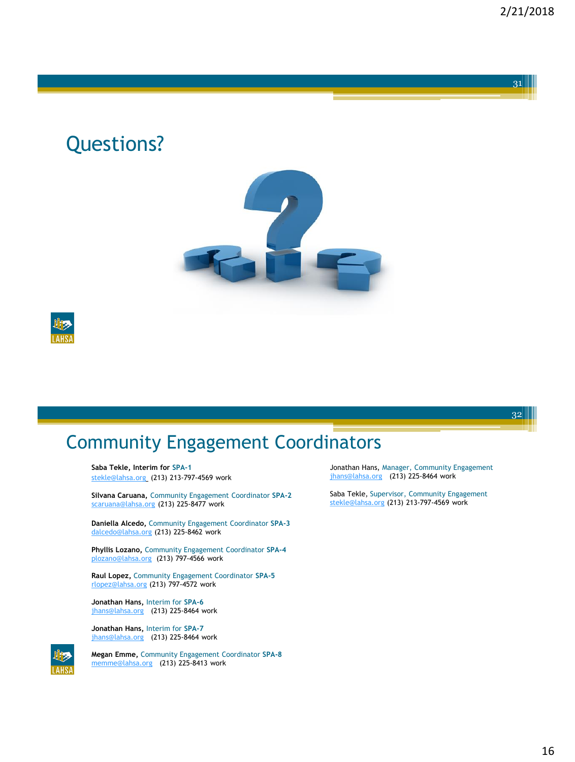### Questions?





## Community Engagement Coordinators

**Saba Tekle, Interim for SPA-1** [stekle@lahsa.org](mailto:stekle@lahsa.org) (213) 213-797-4569 work

**Silvana Caruana,** Community Engagement Coordinator **SPA-2** [scaruana@lahsa.org](mailto:scaruana@lahsa.org) (213) 225-8477 work

**Daniella Alcedo,** Community Engagement Coordinator **SPA-3** [dalcedo@lahsa.org](mailto:dalcedo@lahsa.org) (213) 225-8462 work

**Phyllis Lozano,** Community Engagement Coordinator **SPA-4** [plozano@lahsa.org](mailto:plozano@lahsa.org) (213) 797-4566 work

**Raul Lopez,** Community Engagement Coordinator **SPA-5** [rlopez@lahsa.org](mailto:dalcedo@lahsa.org) (213) 797-4572 work

**Jonathan Hans,** Interim for **SPA-6** [jhans@lahsa.org](mailto:jhans@lahsa.org) (213) 225-8464 work

**Jonathan Hans,** Interim for **SPA-7** [jhans@lahsa.org](mailto:jhans@lahsa.org) (213) 225-8464 work



**Megan Emme,** Community Engagement Coordinator **SPA-8**  [memme@lahsa.org](mailto:kbarnette@lahsa.org) (213) 225-8413 work

Jonathan Hans, Manager, Community Engagement [jhans@lahsa.org](mailto:jhans@lahsa.org) (213) 225-8464 work

Saba Tekle, Supervisor, Community Engagement [stekle@lahsa.org](mailto:stekle@lahsa.org) (213) 213-797-4569 work

16